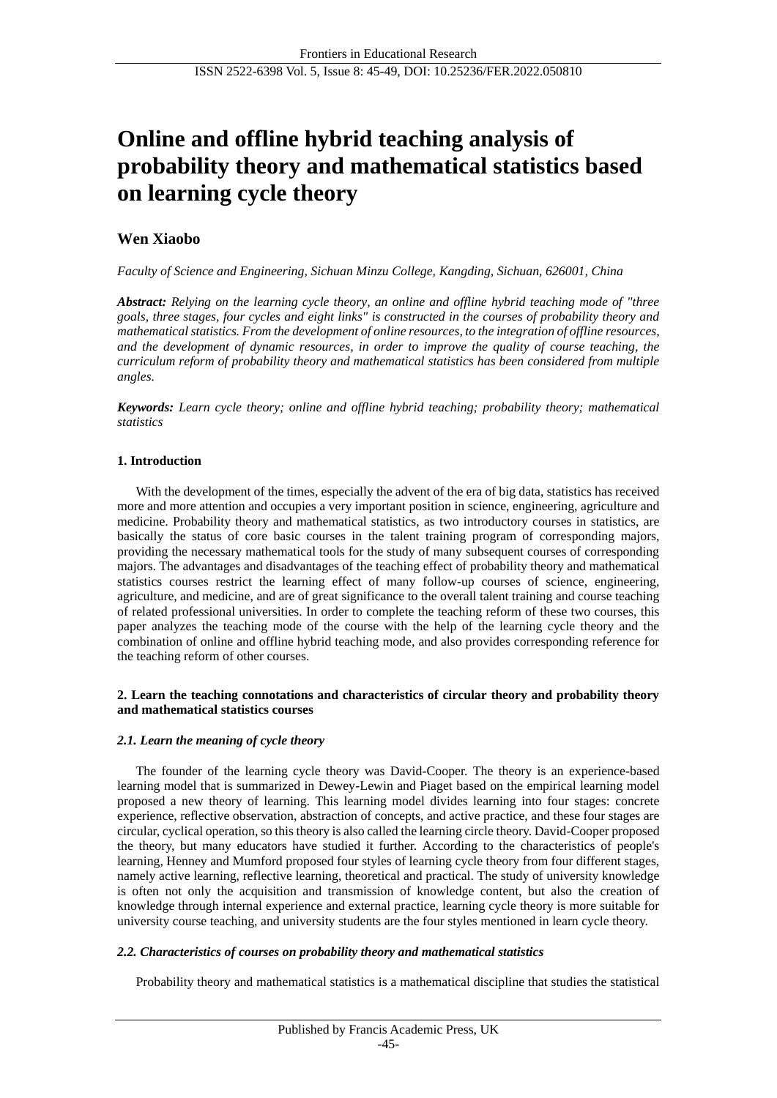# **Online and offline hybrid teaching analysis of probability theory and mathematical statistics based on learning cycle theory**

## **Wen Xiaobo**

*Faculty of Science and Engineering, Sichuan Minzu College, Kangding, Sichuan, 626001, China*

*Abstract: Relying on the learning cycle theory, an online and offline hybrid teaching mode of "three goals, three stages, four cycles and eight links" is constructed in the courses of probability theory and mathematical statistics. From the development of online resources, to the integration of offline resources, and the development of dynamic resources, in order to improve the quality of course teaching, the curriculum reform of probability theory and mathematical statistics has been considered from multiple angles.*

*Keywords: Learn cycle theory; online and offline hybrid teaching; probability theory; mathematical statistics*

## **1. Introduction**

With the development of the times, especially the advent of the era of big data, statistics has received more and more attention and occupies a very important position in science, engineering, agriculture and medicine. Probability theory and mathematical statistics, as two introductory courses in statistics, are basically the status of core basic courses in the talent training program of corresponding majors, providing the necessary mathematical tools for the study of many subsequent courses of corresponding majors. The advantages and disadvantages of the teaching effect of probability theory and mathematical statistics courses restrict the learning effect of many follow-up courses of science, engineering, agriculture, and medicine, and are of great significance to the overall talent training and course teaching of related professional universities. In order to complete the teaching reform of these two courses, this paper analyzes the teaching mode of the course with the help of the learning cycle theory and the combination of online and offline hybrid teaching mode, and also provides corresponding reference for the teaching reform of other courses.

#### **2. Learn the teaching connotations and characteristics of circular theory and probability theory and mathematical statistics courses**

#### *2.1. Learn the meaning of cycle theory*

The founder of the learning cycle theory was David-Cooper. The theory is an experience-based learning model that is summarized in Dewey-Lewin and Piaget based on the empirical learning model proposed a new theory of learning. This learning model divides learning into four stages: concrete experience, reflective observation, abstraction of concepts, and active practice, and these four stages are circular, cyclical operation, so this theory is also called the learning circle theory. David-Cooper proposed the theory, but many educators have studied it further. According to the characteristics of people's learning, Henney and Mumford proposed four styles of learning cycle theory from four different stages, namely active learning, reflective learning, theoretical and practical. The study of university knowledge is often not only the acquisition and transmission of knowledge content, but also the creation of knowledge through internal experience and external practice, learning cycle theory is more suitable for university course teaching, and university students are the four styles mentioned in learn cycle theory.

#### *2.2. Characteristics of courses on probability theory and mathematical statistics*

Probability theory and mathematical statistics is a mathematical discipline that studies the statistical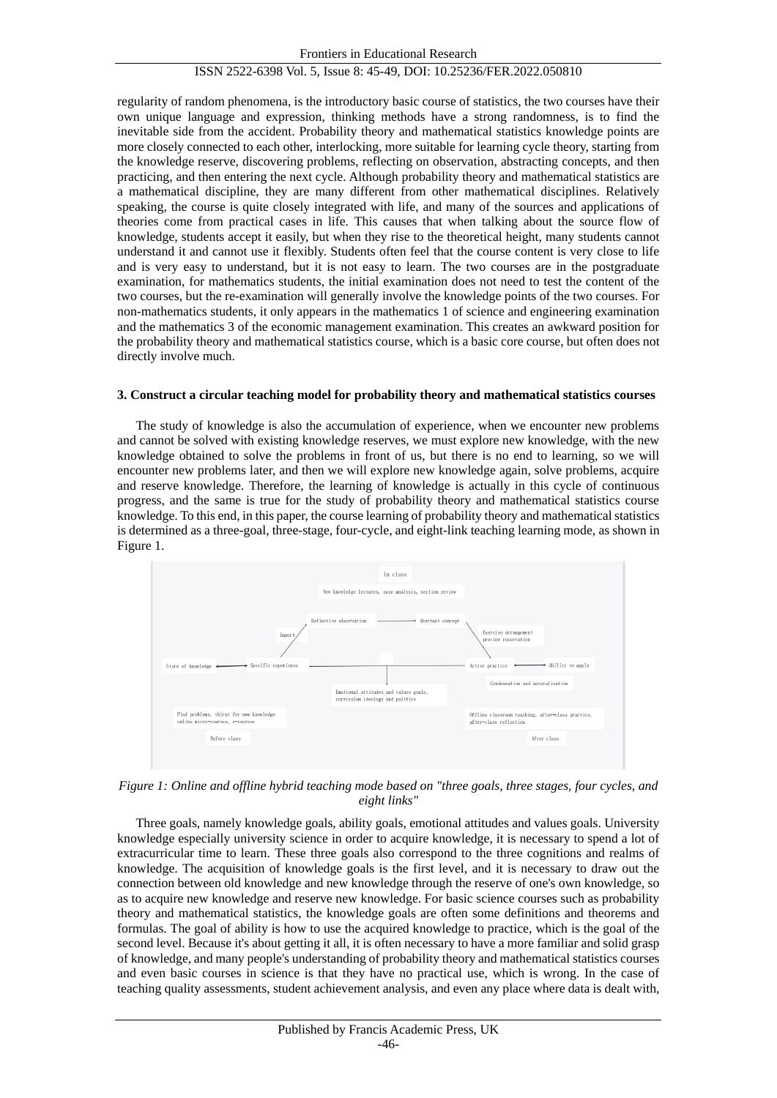#### ISSN 2522-6398 Vol. 5, Issue 8: 45-49, DOI: 10.25236/FER.2022.050810

regularity of random phenomena, is the introductory basic course of statistics, the two courses have their own unique language and expression, thinking methods have a strong randomness, is to find the inevitable side from the accident. Probability theory and mathematical statistics knowledge points are more closely connected to each other, interlocking, more suitable for learning cycle theory, starting from the knowledge reserve, discovering problems, reflecting on observation, abstracting concepts, and then practicing, and then entering the next cycle. Although probability theory and mathematical statistics are a mathematical discipline, they are many different from other mathematical disciplines. Relatively speaking, the course is quite closely integrated with life, and many of the sources and applications of theories come from practical cases in life. This causes that when talking about the source flow of knowledge, students accept it easily, but when they rise to the theoretical height, many students cannot understand it and cannot use it flexibly. Students often feel that the course content is very close to life and is very easy to understand, but it is not easy to learn. The two courses are in the postgraduate examination, for mathematics students, the initial examination does not need to test the content of the two courses, but the re-examination will generally involve the knowledge points of the two courses. For non-mathematics students, it only appears in the mathematics 1 of science and engineering examination and the mathematics 3 of the economic management examination. This creates an awkward position for the probability theory and mathematical statistics course, which is a basic core course, but often does not directly involve much.

#### **3. Construct a circular teaching model for probability theory and mathematical statistics courses**

The study of knowledge is also the accumulation of experience, when we encounter new problems and cannot be solved with existing knowledge reserves, we must explore new knowledge, with the new knowledge obtained to solve the problems in front of us, but there is no end to learning, so we will encounter new problems later, and then we will explore new knowledge again, solve problems, acquire and reserve knowledge. Therefore, the learning of knowledge is actually in this cycle of continuous progress, and the same is true for the study of probability theory and mathematical statistics course knowledge. To this end, in this paper, the course learning of probability theory and mathematical statistics is determined as a three-goal, three-stage, four-cycle, and eight-link teaching learning mode, as shown in Figure 1.



*Figure 1: Online and offline hybrid teaching mode based on "three goals, three stages, four cycles, and eight links"*

Three goals, namely knowledge goals, ability goals, emotional attitudes and values goals. University knowledge especially university science in order to acquire knowledge, it is necessary to spend a lot of extracurricular time to learn. These three goals also correspond to the three cognitions and realms of knowledge. The acquisition of knowledge goals is the first level, and it is necessary to draw out the connection between old knowledge and new knowledge through the reserve of one's own knowledge, so as to acquire new knowledge and reserve new knowledge. For basic science courses such as probability theory and mathematical statistics, the knowledge goals are often some definitions and theorems and formulas. The goal of ability is how to use the acquired knowledge to practice, which is the goal of the second level. Because it's about getting it all, it is often necessary to have a more familiar and solid grasp of knowledge, and many people's understanding of probability theory and mathematical statistics courses and even basic courses in science is that they have no practical use, which is wrong. In the case of teaching quality assessments, student achievement analysis, and even any place where data is dealt with,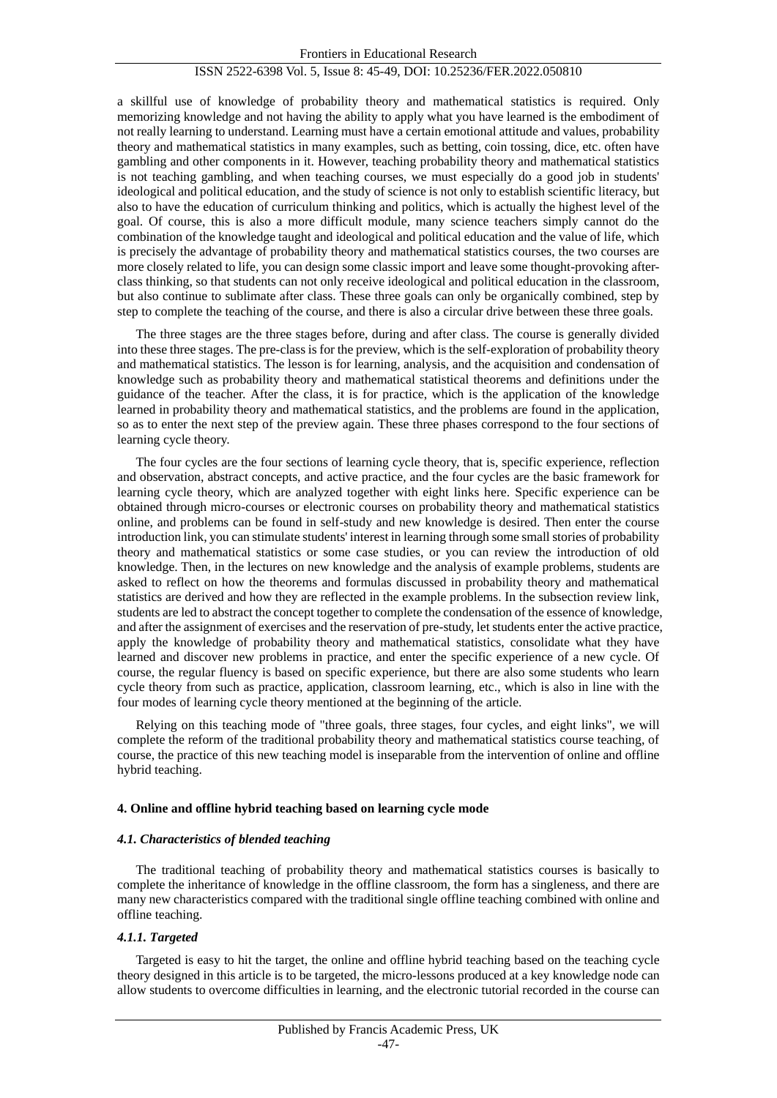#### ISSN 2522-6398 Vol. 5, Issue 8: 45-49, DOI: 10.25236/FER.2022.050810

a skillful use of knowledge of probability theory and mathematical statistics is required. Only memorizing knowledge and not having the ability to apply what you have learned is the embodiment of not really learning to understand. Learning must have a certain emotional attitude and values, probability theory and mathematical statistics in many examples, such as betting, coin tossing, dice, etc. often have gambling and other components in it. However, teaching probability theory and mathematical statistics is not teaching gambling, and when teaching courses, we must especially do a good job in students' ideological and political education, and the study of science is not only to establish scientific literacy, but also to have the education of curriculum thinking and politics, which is actually the highest level of the goal. Of course, this is also a more difficult module, many science teachers simply cannot do the combination of the knowledge taught and ideological and political education and the value of life, which is precisely the advantage of probability theory and mathematical statistics courses, the two courses are more closely related to life, you can design some classic import and leave some thought-provoking afterclass thinking, so that students can not only receive ideological and political education in the classroom, but also continue to sublimate after class. These three goals can only be organically combined, step by step to complete the teaching of the course, and there is also a circular drive between these three goals.

The three stages are the three stages before, during and after class. The course is generally divided into these three stages. The pre-class is for the preview, which is the self-exploration of probability theory and mathematical statistics. The lesson is for learning, analysis, and the acquisition and condensation of knowledge such as probability theory and mathematical statistical theorems and definitions under the guidance of the teacher. After the class, it is for practice, which is the application of the knowledge learned in probability theory and mathematical statistics, and the problems are found in the application, so as to enter the next step of the preview again. These three phases correspond to the four sections of learning cycle theory.

The four cycles are the four sections of learning cycle theory, that is, specific experience, reflection and observation, abstract concepts, and active practice, and the four cycles are the basic framework for learning cycle theory, which are analyzed together with eight links here. Specific experience can be obtained through micro-courses or electronic courses on probability theory and mathematical statistics online, and problems can be found in self-study and new knowledge is desired. Then enter the course introduction link, you can stimulate students' interest in learning through some small stories of probability theory and mathematical statistics or some case studies, or you can review the introduction of old knowledge. Then, in the lectures on new knowledge and the analysis of example problems, students are asked to reflect on how the theorems and formulas discussed in probability theory and mathematical statistics are derived and how they are reflected in the example problems. In the subsection review link, students are led to abstract the concept together to complete the condensation of the essence of knowledge, and after the assignment of exercises and the reservation of pre-study, let students enter the active practice, apply the knowledge of probability theory and mathematical statistics, consolidate what they have learned and discover new problems in practice, and enter the specific experience of a new cycle. Of course, the regular fluency is based on specific experience, but there are also some students who learn cycle theory from such as practice, application, classroom learning, etc., which is also in line with the four modes of learning cycle theory mentioned at the beginning of the article.

Relying on this teaching mode of "three goals, three stages, four cycles, and eight links", we will complete the reform of the traditional probability theory and mathematical statistics course teaching, of course, the practice of this new teaching model is inseparable from the intervention of online and offline hybrid teaching.

#### **4. Online and offline hybrid teaching based on learning cycle mode**

#### *4.1. Characteristics of blended teaching*

The traditional teaching of probability theory and mathematical statistics courses is basically to complete the inheritance of knowledge in the offline classroom, the form has a singleness, and there are many new characteristics compared with the traditional single offline teaching combined with online and offline teaching.

#### *4.1.1. Targeted*

Targeted is easy to hit the target, the online and offline hybrid teaching based on the teaching cycle theory designed in this article is to be targeted, the micro-lessons produced at a key knowledge node can allow students to overcome difficulties in learning, and the electronic tutorial recorded in the course can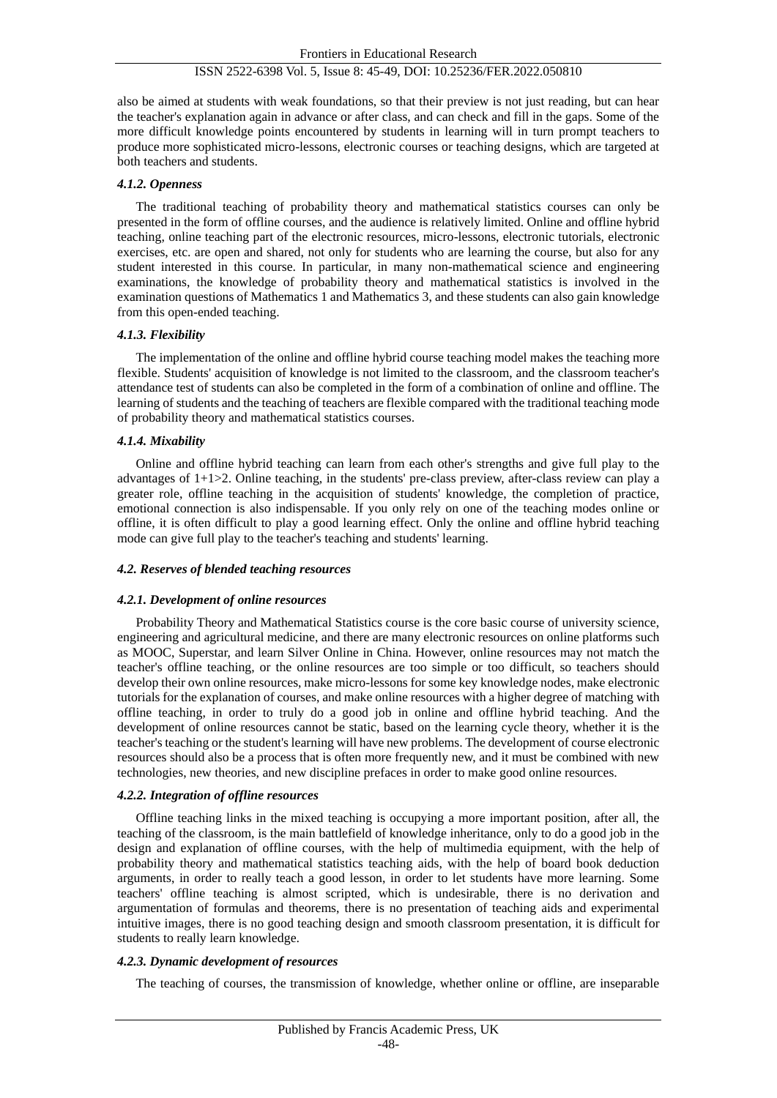## ISSN 2522-6398 Vol. 5, Issue 8: 45-49, DOI: 10.25236/FER.2022.050810

also be aimed at students with weak foundations, so that their preview is not just reading, but can hear the teacher's explanation again in advance or after class, and can check and fill in the gaps. Some of the more difficult knowledge points encountered by students in learning will in turn prompt teachers to produce more sophisticated micro-lessons, electronic courses or teaching designs, which are targeted at both teachers and students.

#### *4.1.2. Openness*

The traditional teaching of probability theory and mathematical statistics courses can only be presented in the form of offline courses, and the audience is relatively limited. Online and offline hybrid teaching, online teaching part of the electronic resources, micro-lessons, electronic tutorials, electronic exercises, etc. are open and shared, not only for students who are learning the course, but also for any student interested in this course. In particular, in many non-mathematical science and engineering examinations, the knowledge of probability theory and mathematical statistics is involved in the examination questions of Mathematics 1 and Mathematics 3, and these students can also gain knowledge from this open-ended teaching.

#### *4.1.3. Flexibility*

The implementation of the online and offline hybrid course teaching model makes the teaching more flexible. Students' acquisition of knowledge is not limited to the classroom, and the classroom teacher's attendance test of students can also be completed in the form of a combination of online and offline. The learning of students and the teaching of teachers are flexible compared with the traditional teaching mode of probability theory and mathematical statistics courses.

### *4.1.4. Mixability*

Online and offline hybrid teaching can learn from each other's strengths and give full play to the advantages of 1+1>2. Online teaching, in the students' pre-class preview, after-class review can play a greater role, offline teaching in the acquisition of students' knowledge, the completion of practice, emotional connection is also indispensable. If you only rely on one of the teaching modes online or offline, it is often difficult to play a good learning effect. Only the online and offline hybrid teaching mode can give full play to the teacher's teaching and students' learning.

#### *4.2. Reserves of blended teaching resources*

#### *4.2.1. Development of online resources*

Probability Theory and Mathematical Statistics course is the core basic course of university science, engineering and agricultural medicine, and there are many electronic resources on online platforms such as MOOC, Superstar, and learn Silver Online in China. However, online resources may not match the teacher's offline teaching, or the online resources are too simple or too difficult, so teachers should develop their own online resources, make micro-lessons for some key knowledge nodes, make electronic tutorials for the explanation of courses, and make online resources with a higher degree of matching with offline teaching, in order to truly do a good job in online and offline hybrid teaching. And the development of online resources cannot be static, based on the learning cycle theory, whether it is the teacher's teaching or the student's learning will have new problems. The development of course electronic resources should also be a process that is often more frequently new, and it must be combined with new technologies, new theories, and new discipline prefaces in order to make good online resources.

#### *4.2.2. Integration of offline resources*

Offline teaching links in the mixed teaching is occupying a more important position, after all, the teaching of the classroom, is the main battlefield of knowledge inheritance, only to do a good job in the design and explanation of offline courses, with the help of multimedia equipment, with the help of probability theory and mathematical statistics teaching aids, with the help of board book deduction arguments, in order to really teach a good lesson, in order to let students have more learning. Some teachers' offline teaching is almost scripted, which is undesirable, there is no derivation and argumentation of formulas and theorems, there is no presentation of teaching aids and experimental intuitive images, there is no good teaching design and smooth classroom presentation, it is difficult for students to really learn knowledge.

#### *4.2.3. Dynamic development of resources*

The teaching of courses, the transmission of knowledge, whether online or offline, are inseparable